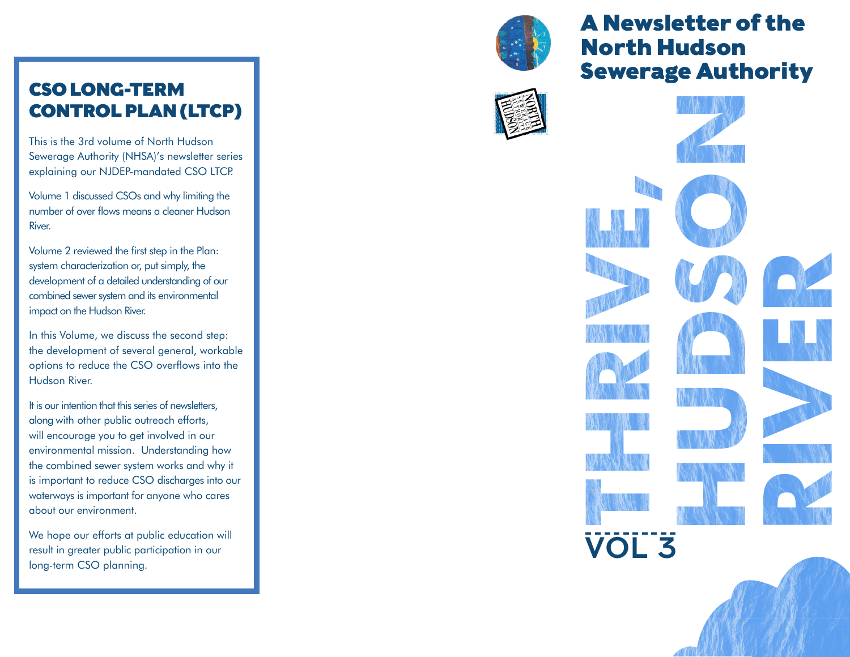# CSO LONG-TERM CONTROL PLAN (LTCP)

This is the 3rd volume of North Hudson Sewerage Authority (NHSA)'s newsletter series explaining our NJDEP-mandated CSO LTCP.

Volume 1 discussed CSOs and why limiting the number of over flows means a cleaner Hudson River.

Volume 2 reviewed the first step in the Plan: system characterization or, put simply, the development of a detailed understanding of our combined sewer system and its environmental impact on the Hudson River.

In this Volume, we discuss the second step: the development of several general, workable options to reduce the CSO overflows into the Hudson River.

It is our intention that this series of newsletters, along with other public outreach efforts, will encourage you to get involved in our environmental mission. Understanding how the combined sewer system works and why it is important to reduce CSO discharges into our waterways is important for anyone who cares about our environment.

We hope our efforts at public education will result in greater public participation in our long-term CSO planning.



# A Newsletter of the North Hudson Sewerage Authority